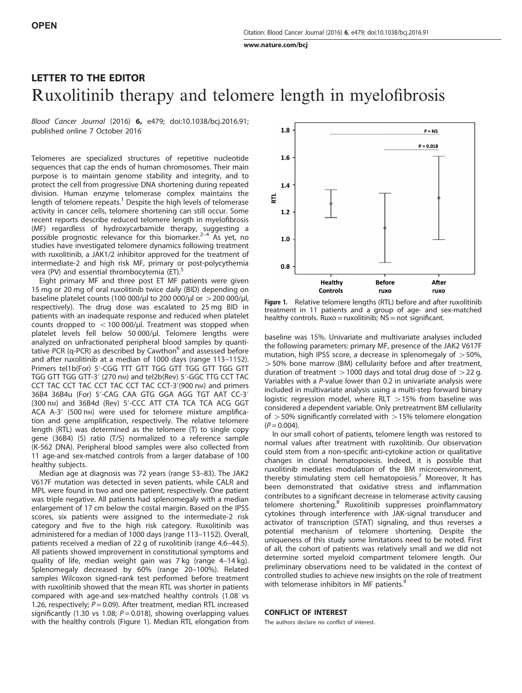[www.nature.com/bcj](http://www.nature.com/bcj)

## LETTER TO THE EDITOR Ruxolitinib therapy and telomere length in myelofibrosis

Blood Cancer Journal (2016) 6, e479; doi:[10.1038/bcj.2016.91](http://dx.doi.org/10.1038/bcj.2016.91); published online 7 October 2016

Telomeres are specialized structures of repetitive nucleotide sequences that cap the ends of human chromosomes. Their main purpose is to maintain genome stability and integrity, and to protect the cell from progressive DNA shortening during repeated division. Human enzyme telomerase complex maintains the length of telomere repeats.<sup>[1](#page-1-0)</sup> Despite the high levels of telomerase activity in cancer cells, telomere shortening can still occur. Some recent reports describe reduced telomere length in myelofibrosis (MF) regardless of hydroxycarbamide therapy, [su](#page-1-0)ggesting a possible prognostic relevance for this biomarker.2–<sup>4</sup> As yet, no studies have investigated telomere dynamics following treatment with ruxolitinib, a JAK1/2 inhibitor approved for the treatment of intermediate-2 and high risk MF, primary or post-polycythemia vera (PV) and essential thrombocytemia (ET).<sup>[5](#page-1-0)</sup>

Eight primary MF and three post ET MF patients were given 15 mg or 20 mg of oral ruxolitinib twice daily (BID) depending on baseline platelet counts (100 000/μl to 200 000/μl or  $>$  200 000/μl, respectively). The drug dose was escalated to 25 mg BID in patients with an inadequate response and reduced when platelet counts dropped to  $<$  100 000/μl. Treatment was stopped when platelet levels fell below 50 000/μl. Telomere lengths were analyzed on unfractionated peripheral blood samples by quantitative PCR (q-PCR) as described by Cawthon $<sup>6</sup>$  $<sup>6</sup>$  $<sup>6</sup>$  and assessed before</sup> and after ruxolitinib at a median of 1000 days (range 113–1152). Primers tel1b(For) 5'-CGG TTT GTT TGG GTT TGG GTT TGG GTT TGG GTT TGG GTT-3' (270 nm) and tel2b(Rev) 5'-GGC TTG CCT TAC CCT TAC CCT TAC CCT TAC CCT TAC CCT-3'(900 nm) and primers 36B4 36B4u (For) 5′-CAG CAA GTG GGA AGG TGT AAT CC-3′ (300 nm) and 36B4d (Rev) 5'-CCC ATT CTA TCA TCA ACG GGT ACA A-3' (500 nm) were used for telomere mixture amplification and gene amplification, respectively. The relative telomere length (RTL) was determined as the telomere (T) to single copy gene (36B4) (S) ratio (T/S) normalized to a reference sample (K-562 DNA). Peripheral blood samples were also collected from 11 age-and sex-matched controls from a larger database of 100 healthy subjects.

Median age at diagnosis was 72 years (range 53–83). The JAK2 V617F mutation was detected in seven patients, while CALR and MPL were found in two and one patient, respectively. One patient was triple negative. All patients had splenomegaly with a median enlargement of 17 cm below the costal margin. Based on the IPSS scores, six patients were assigned to the intermediate-2 risk category and five to the high risk category. Ruxolitinib was administered for a median of 1000 days (range 113–1152). Overall, patients received a median of 22 g of ruxolitinib (range 4.6–44.5). All patients showed improvement in constitutional symptoms and quality of life, median weight gain was 7 kg (range 4–14 kg). Splenomegaly decreased by 60% (range 20–100%). Related samples Wilcoxon signed-rank test performed before treatment with ruxolitinib showed that the mean RTL was shorter in patients compared with age-and sex-matched healthy controls (1.08 vs 1.26, respectively;  $P = 0.09$ ). After treatment, median RTL increased significantly (1.30 vs 1.08;  $P = 0.018$ ), showing overlapping values with the healthy controls (Figure 1). Median RTL elongation from



Figure 1. Relative telomere lengths (RTL) before and after ruxolitinib treatment in 11 patients and a group of age- and sex-matched healthy controls.  $Ruxo=ruxolitinib; NS=not significant.$ 

baseline was 15%. Univariate and multivariate analyses included the following parameters: primary MF, presence of the JAK2 V617F mutation, high IPSS score, a decrease in splenomegaly of  $>50\%$ , >50% bone marrow (BM) cellularity before and after treatment, duration of treatment  $>$  1000 days and total drug dose of  $>$  22 g. Variables with a P-value lower than 0.2 in univariate analysis were included in multivariate analysis using a multi-step forward binary logistic regression model, where RLT  $>15%$  from baseline was considered a dependent variable. Only pretreatment BM cellularity of  $>$  50% significantly correlated with  $>$  15% telomere elongation  $(P = 0.004)$ .

In our small cohort of patients, telomere length was restored to normal values after treatment with ruxolitinib. Our observation could stem from a non-specific anti-cytokine action or qualitative changes in clonal hematopoiesis. Indeed, it is possible that ruxolitinib mediates modulation of the BM microenvironment, thereby stimulating stem cell hematopoiesis.<sup>[7](#page-1-0)</sup> Moreover, It has been demonstrated that oxidative stress and inflammation contributes to a significant decrease in telomerase activity causing telomere shortening.<sup>[8](#page-1-0)</sup> Ruxolitinib suppresses proinflammatory cytokines through interference with JAK-signal transducer and activator of transcription (STAT) signaling, and thus reverses a potential mechanism of telomere shortening. Despite the uniqueness of this study some limitations need to be noted. First of all, the cohort of patients was relatively small and we did not determine sorted myeloid compartment telomere length. Our preliminary observations need to be validated in the context of controlled studies to achieve new insights on the role of treatment with telomerase inhibitors in MF patients.<sup>[9](#page-1-0)</sup>

## CONFLICT OF INTEREST

The authors declare no conflict of interest.